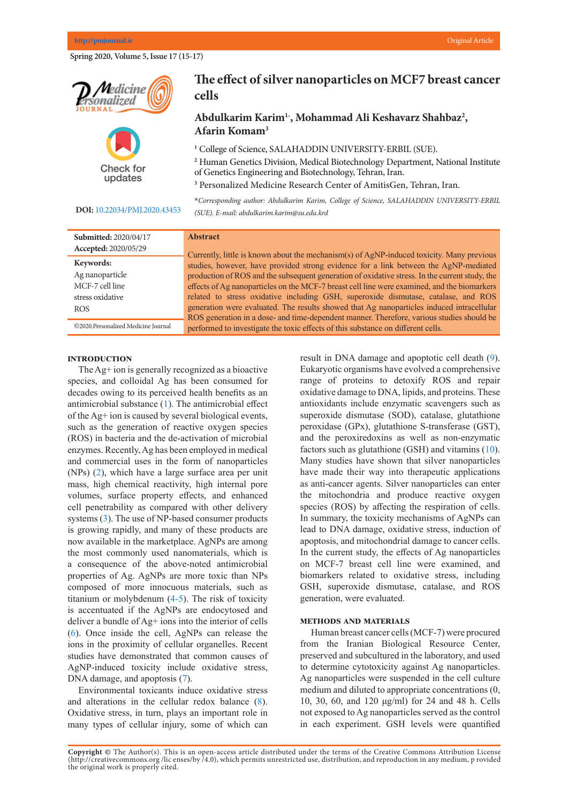Spring 2020, Volume 5, Issue 17 (15-17)



Check for updates

#### **DOI:** [10.22034/PMJ.2020.43453](http://www.pmjournal.ir/article_43453.html)

# **The effect of silver nanoparticles on MCF7 breast cancer 3 of the K-ras Gene in Patients with Lung Cancer cells**

# $A$ farin Komam<sup>3</sup> **Abdulkarim Karim1\* , Mohammad Ali Keshavarz Shahbaz2 ,**

<sup>1</sup> College of Science, SALAHADDIN UNIVERSITY-ERBIL (SUE).

*\*Corresponding author: Mohammad Ali Saremi, Personalized Medicine Research*  of Genetics Engineering and Biotechnology, Tehran, Iran. **2** Human Genetics Division, Medical Biotechnology Department, National Institute

<sup>3</sup> Personalized Medicine Research Center of AmitisGen, Tehran, Iran.

**Abstract** *(SUE). E-mail: abdulkarim.karim@su.edu.krd*  **\****Corresponding author: Abdulkarim Karim, College of Science, SALAHADDIN UNIVERSITY-ERBIL* 

| Submitted: 2020/04/17               | <b>Abstract</b>                                                                                                                                                                        |  |  |  |  |  |
|-------------------------------------|----------------------------------------------------------------------------------------------------------------------------------------------------------------------------------------|--|--|--|--|--|
| Accepted: 2020/05/29                | Currently, little is known about the mechanism(s) of AgNP-induced toxicity. Many previous                                                                                              |  |  |  |  |  |
| Keywords:                           | studies, however, have provided strong evidence for a link between the AgNP-mediated                                                                                                   |  |  |  |  |  |
| Ag nanoparticle                     | production of ROS and the subsequent generation of oxidative stress. In the current study, the                                                                                         |  |  |  |  |  |
| MCF-7 cell line                     | effects of Ag nanoparticles on the MCF-7 breast cell line were examined, and the biomarkers                                                                                            |  |  |  |  |  |
| stress oxidative                    | related to stress oxidative including GSH, superoxide dismutase, catalase, and ROS                                                                                                     |  |  |  |  |  |
| ROS.                                | generation were evaluated. The results showed that Ag nanoparticles induced intracellular<br>ROS generation in a dose- and time-dependent manner. Therefore, various studies should be |  |  |  |  |  |
| ©2020.Personalized Medicine Journal | performed to investigate the toxic effects of this substance on different cells.                                                                                                       |  |  |  |  |  |

## **Introduction**

The Ag+ ion is generally recognized as a bioactive species, and colloidal Ag has been consumed for range of pr decades owing to its perceived health benefits as an antimicrobial substance [\(1](#page-2-0)). The antimicrobial effect of the Ag<sup>+</sup> ion is caused by several biological events, such as the generation of reactive oxygen species  $(ROS)$  in bacteria and the de-activation of microbial  $\overline{R}$ . enzymes. Recently, Ag has been employed in medical and commercial uses in the form of nanoparticles  $(NPs)$   $(2)$  $(2)$ , which have a large surface area per unit mass, high chemical reactivity, high internal pore volumes, surface property effects, and enhanced cell penetrability as compared with other delivery systems  $(3)$  $(3)$ . The use of NP-based consumer products is growing rapidly, and many of these products are now available in the marketplace. AgNPs are among the most commonly used nanomaterials, which is a consequence of the above-noted antimicrobial  $\overline{M}$ properties of Ag. AgNPs are more toxic than NPs  $R_{\text{composed}}$  of more innocuous materials, such as titanium or molybdenum  $(4-5)$  $(4-5)$  $(4-5)$ . The risk of toxicity is accentuated if the AgNPs are endocytosed and pollution. Like all generalistic diseases, cancer results for  $\alpha$ deliver a bundle of Ag+ ions into the interior of cells  $\sim$  $(6)$  $(6)$ . Once inside the cell, AgNPs can release the  $\frac{1}{10}$ ions in the proximity of cellular organelles. Recent studies have demonstrated that common causes of AgNP-induced toxicity include oxidative stress,  $\sum_{n=1}^{\infty}$ DNA damage, and apoptosis  $(7)$  $(7)$  $(7)$ .

Environmental toxicants induce oxidative stress and alterations in the cellular redox balance  $(8)$  $(8)$ . Oxidative stress, in turn, plays an important role in many types of cellular injury, some of which can

result in DNA damage and apoptotic cell death ([9\)](#page-2-0). ognized as a bioactive **Eukaryotic organisms** have evolved a comprehensive range of proteins to detoxify ROS and repair oxidative damage to DNA, lipids, and proteins. These antioxidants include enzymatic scavengers such as superoxide dismutase (SOD), catalase, glutathione peroxidase (GPx), glutathione S-transferase (GST), and the peroxiredoxins as well as non-enzymatic  $(6.81)$ . The use  $(4)$ . factors such as glutathione (GSH) and vitamins  $(10)$  $(10)$ . Many studies have shown that silver nanoparticles have made their way into therapeutic applications as anti-cancer agents. Silver nanoparticles can enter the mitochondria and produce reactive oxygen species  $(ROS)$  by affecting the respiration of cells. In summary, the toxicity mechanisms of AgNPs can lead to DNA damage, oxidative stress, induction of apoptosis, and mitochondrial damage to cancer cells. In the current study, the effects of Ag nanoparticles  $\frac{1}{2}$ on MCF-7 breast cell line were examined, and biomarkers related to oxidative stress, including  $\frac{1}{2}$ . GSH, superoxide dismutase, catalase, and ROS generation, were evaluated.

# **METHODS AND MATERIALS**

METHODS AND MATERIALS<br>Human breast cancer cells (MCF-7) were procured from the Iranian Biological Resource Center, preserved and subcultured in the laboratory, and used to determine cytotoxicity against Ag nanoparticles. Ag nanoparticles were suspended in the cell culture  $\ddot{\phantom{a}}$ medium and diluted to appropriate concentrations  $(0, 10, 20, 6)$ 10, 30, 60, and 120 μg/ml) for 24 and 48 h. Cells not exposed to Ag nanoparticles served as the control in each experiment. GSH levels were quantified Framan preast cancel cents ( $WCF-7$ ) were procure

Copyright @ The Author(s). This is an open-access article distributed under the terms of the Creative Commons Attribution License (http://creativecommons.org/licenses/by/4.0), which permits unrestricted use, distribution, and reproduction in any medium, p rovided the original work is properly cited.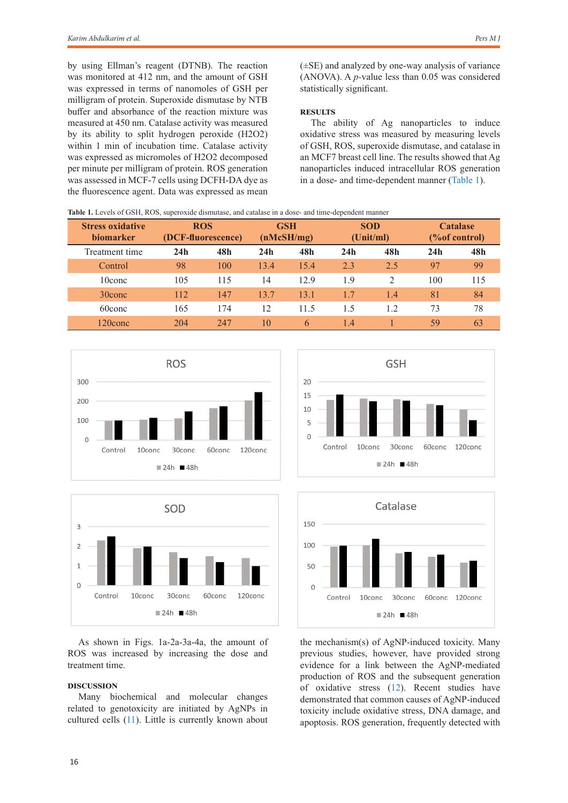by using Ellman's reagent (DTNB). The reaction was monitored at 412 nm, and the amount of GSH was expressed in terms of nanomoles of GSH per milligram of protein. Superoxide dismutase by NTB buffer and absorbance of the reaction mixture was measured at 450 nm. Catalase activity was measured by its ability to split hydrogen peroxide (H2O2) within 1 min of incubation time. Catalase activity was expressed as micromoles of H2O2 decomposed per minute per milligram of protein. ROS generation was assessed in MCF-7 cells using DCFH-DA dye as the fluorescence agent. Data was expressed as mean

(±SE) and analyzed by one-way analysis of variance (ANOVA). A *p-*value less than 0.05 was considered statistically significant.

### **Results**

The ability of Ag nanoparticles to induce oxidative stress was measured by measuring levels of GSH, ROS, superoxide dismutase, and catalase in an MCF7 breast cell line. The results showed that Ag nanoparticles induced intracellular ROS generation in a dose- and time-dependent manner [\(Table 1](#page-1-0)).

| <b>Stress oxidative</b><br><b>biomarker</b> | <b>ROS</b><br>(DCF-fluorescence) |     | <b>GSH</b><br>(nMcSH/mg) |      | <b>SOD</b><br>(Unit/ml) |                | <b>Catalase</b><br>(% of control) |     |
|---------------------------------------------|----------------------------------|-----|--------------------------|------|-------------------------|----------------|-----------------------------------|-----|
| Treatment time                              | 24h                              | 48h | 24h                      | 48h  | 24h                     | 48h            | 24h                               | 48h |
| Control                                     | 98                               | 100 | 13.4                     | 15.4 | 2.3                     | 2.5            | 97                                | 99  |
| 10conc                                      | 105                              | 115 | 14                       | 12.9 | 1.9                     | $\mathfrak{D}$ | 100                               | 115 |
| $30$ conc                                   | 112                              | 147 | 13.7                     | 13.1 | 1.7                     | 1.4            | 81                                | 84  |
| 60conc                                      | 165                              | 174 | 12                       | 11.5 | 1.5                     | 1.2            | 73                                | 78  |
| $120$ conc                                  | 204                              | 247 | 10                       | 6    | 1.4                     |                | 59                                | 63  |

<span id="page-1-0"></span>**Table 1.** Levels of GSH, ROS, superoxide dismutase, and catalase in a dose- and time-dependent manner





As shown in Figs. 1a-2a-3a-4a, the amount of ROS was increased by increasing the dose and treatment time.

## **Discussion**

Many biochemical and molecular changes related to genotoxicity are initiated by AgNPs in cultured cells ([11](#page-2-0)). Little is currently known about





the mechanism(s) of AgNP-induced toxicity. Many previous studies, however, have provided strong evidence for a link between the AgNP-mediated production of ROS and the subsequent generation of oxidative stress ([12\)](#page-2-0). Recent studies have demonstrated that common causes of AgNP-induced toxicity include oxidative stress, DNA damage, and apoptosis. ROS generation, frequently detected with